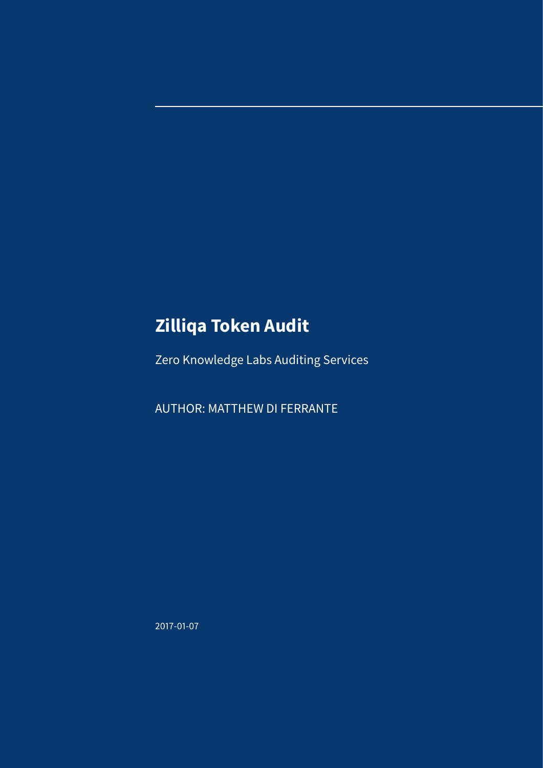# **Zilliqa Token Audit**

Zero Knowledge Labs Auditing Services

AUTHOR: MATTHEW DI FERRANTE

2017-01-07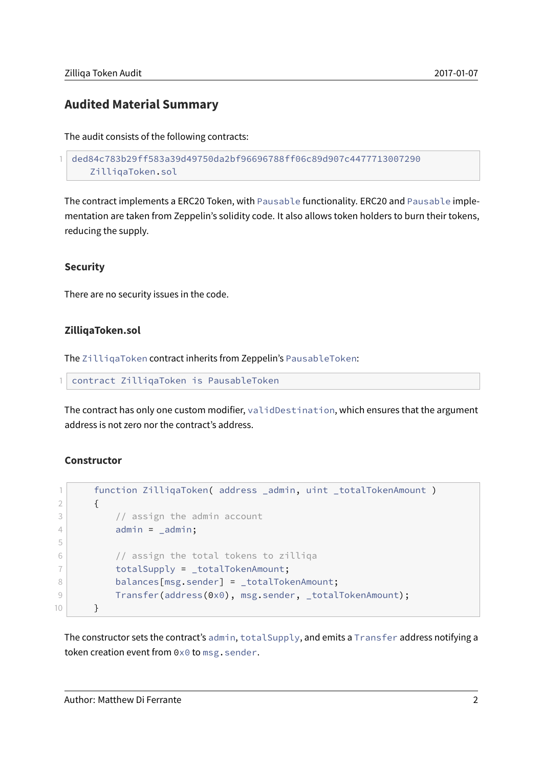### **Audited Material Summary**

The audit consists of the following contracts:

```
1 ded84c783b29ff583a39d49750da2bf96696788ff06c89d907c4477713007290
   ZilliqaToken.sol
```
The contract implements a ERC20 Token, with Pausable functionality. ERC20 and Pausable implementation are taken from Zeppelin's solidity code. It also allows token holders to burn their tokens, reducing the supply.

#### **Security**

There are no security issues in the code.

#### **ZilliqaToken.sol**

The ZilliqaToken contract inherits from Zeppelin's PausableToken:

1 contract ZilliqaToken is PausableToken

The contract has only one custom modifier, validDestination, which ensures that the argument address is not zero nor the contract's address.

#### **Constructor**

```
1 function ZilliqaToken( address _admin, uint _totalTokenAmount )
2 \left\{ \begin{array}{ccc} 2 & 1 \\ 1 & 2 \end{array} \right\}3 // assign the admin account
4 admin = _{\text{admin}};
5
6 // assign the total tokens to zilliga
7 totalSupply = _totalTokenAmount;
8 balances[msg.sender] = _totalTokenAmount;
9 Transfer(address(0x0), msg.sender, _totalTokenAmount);
10 }
```
The constructor sets the contract's admin, totalSupply, and emits a Transfer address notifying a token creation event from 0x0 to msg.sender.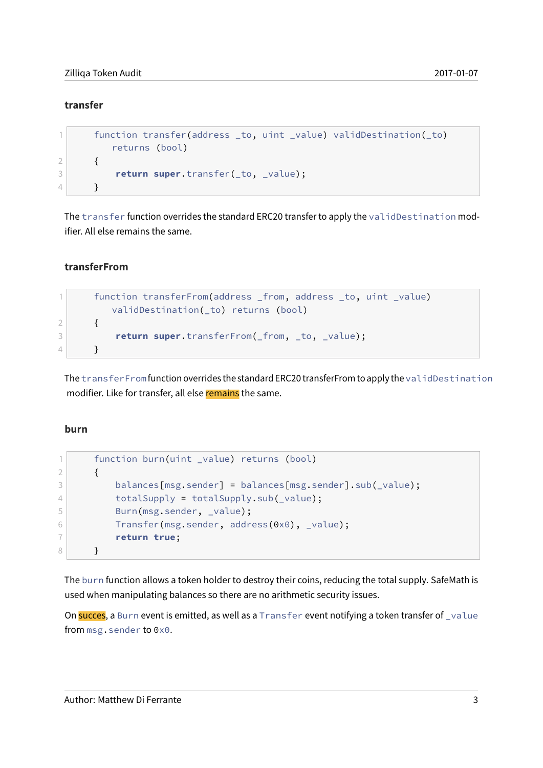#### **transfer**

```
1 function transfer(address _to, uint _value) validDestination(_to)
        returns (bool)
2 {
3 return super.transfer(_to, _value);
4 }
```
The transfer function overrides the standard ERC20 transfer to apply the validDestination modifier. All else remains the same.

#### **transferFrom**

```
1 function transferFrom(address _from, address _to, uint _value)
        validDestination(_to) returns (bool)
2 {
3 return super.transferFrom(_from, _to, _value);
4 }
```
The transferFrom function overrides the standard ERC20 transferFrom to apply the validDestination modifier. Like for transfer, all else remains the same.

#### **burn**

```
1 function burn(uint _value) returns (bool)
2 {
3 balances[msg.sender] = balances[msg.sender].sub(_value);
4 totalSupply = totalSupply.sub(_value);
5 Burn(msg.sender, _value);
6 Transfer(msg.sender, address(0x0), value);
7 return true;
8 }
```
The burn function allows a token holder to destroy their coins, reducing the total supply. SafeMath is used when manipulating balances so there are no arithmetic security issues.

On succes, a Burn event is emitted, as well as a Transfer event notifying a token transfer of value from msg.sender to 0x0.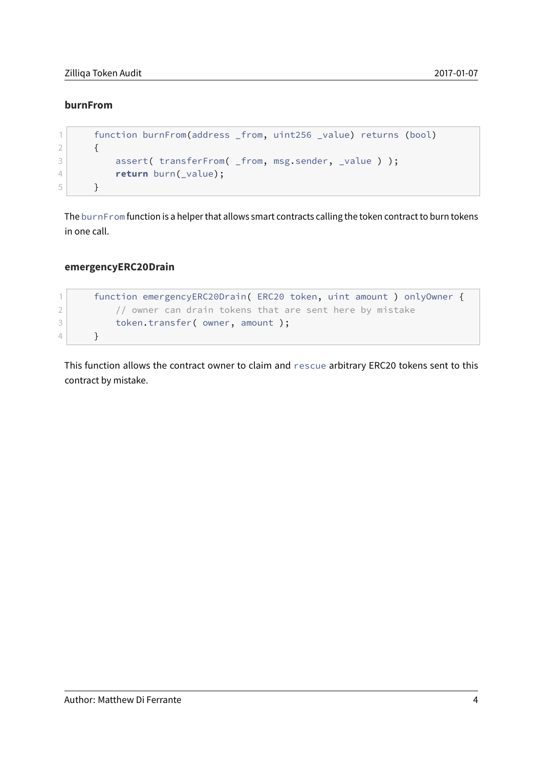#### **burnFrom**

```
1 function burnFrom(address _from, uint256 _value) returns (bool)
2 {
3 assert( transferFrom( _from, msg.sender, _value ) );
4 return burn(_value);
5 }
```
The burnFrom function is a helper that allows smart contracts calling the token contract to burn tokens in one call.

#### **emergencyERC20Drain**

```
1 function emergencyERC20Drain( ERC20 token, uint amount ) onlyOwner {
2 // owner can drain tokens that are sent here by mistake
3 token.transfer( owner, amount );
4 }
```
This function allows the contract owner to claim and rescue arbitrary ERC20 tokens sent to this contract by mistake.